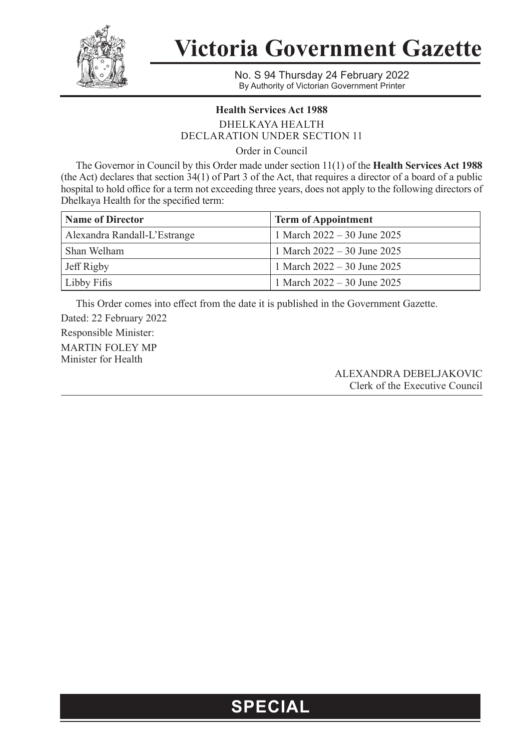

**Victoria Government Gazette**

No. S 94 Thursday 24 February 2022 By Authority of Victorian Government Printer

### **Health Services Act 1988** DHELKAYA HEALTH DECLARATION UNDER SECTION 11

Order in Council

The Governor in Council by this Order made under section 11(1) of the **Health Services Act 1988** (the Act) declares that section 34(1) of Part 3 of the Act, that requires a director of a board of a public hospital to hold office for a term not exceeding three years, does not apply to the following directors of Dhelkaya Health for the specified term:

| <b>Name of Director</b>      | <b>Term of Appointment</b>      |
|------------------------------|---------------------------------|
| Alexandra Randall-L'Estrange | 1 March $2022 - 30$ June $2025$ |
| Shan Welham                  | 1 March $2022 - 30$ June $2025$ |
| Jeff Rigby                   | 1 March $2022 - 30$ June $2025$ |
| Libby Fifis                  | 1 March $2022 - 30$ June $2025$ |

This Order comes into effect from the date it is published in the Government Gazette.

Dated: 22 February 2022

Responsible Minister:

MARTIN FOLEY MP Minister for Health

> ALEXANDRA DEBELJAKOVIC Clerk of the Executive Council

# **SPECIAL**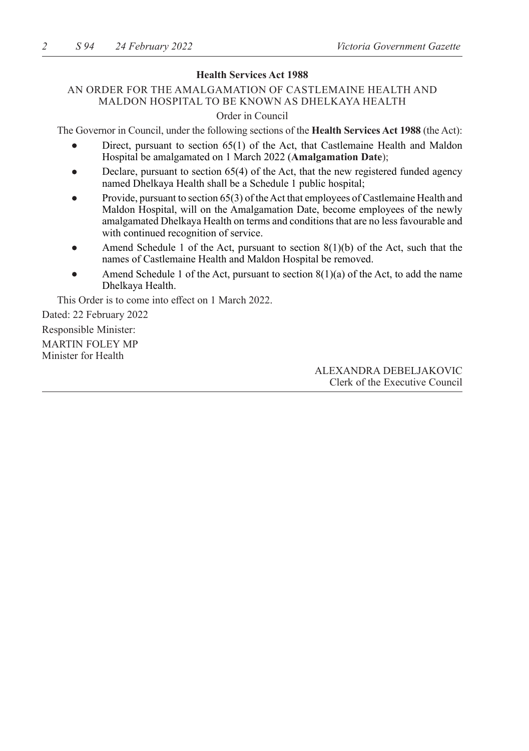#### **Health Services Act 1988**

## AN ORDER FOR THE AMALGAMATION OF CASTLEMAINE HEALTH AND MALDON HOSPITAL TO BE KNOWN AS DHELKAYA HEALTH

Order in Council

The Governor in Council, under the following sections of the **Health Services Act 1988** (the Act):

- Direct, pursuant to section 65(1) of the Act, that Castlemaine Health and Maldon Hospital be amalgamated on 1 March 2022 (**Amalgamation Date**);
- Declare, pursuant to section 65(4) of the Act, that the new registered funded agency named Dhelkaya Health shall be a Schedule 1 public hospital;
- Provide, pursuant to section 65(3) of the Act that employees of Castlemaine Health and Maldon Hospital, will on the Amalgamation Date, become employees of the newly amalgamated Dhelkaya Health on terms and conditions that are no less favourable and with continued recognition of service.
- Amend Schedule 1 of the Act, pursuant to section 8(1)(b) of the Act, such that the names of Castlemaine Health and Maldon Hospital be removed.
- Amend Schedule 1 of the Act, pursuant to section 8(1)(a) of the Act, to add the name Dhelkaya Health.

This Order is to come into effect on 1 March 2022.

Dated: 22 February 2022 Responsible Minister: MARTIN FOLEY MP Minister for Health

> ALEXANDRA DEBELJAKOVIC Clerk of the Executive Council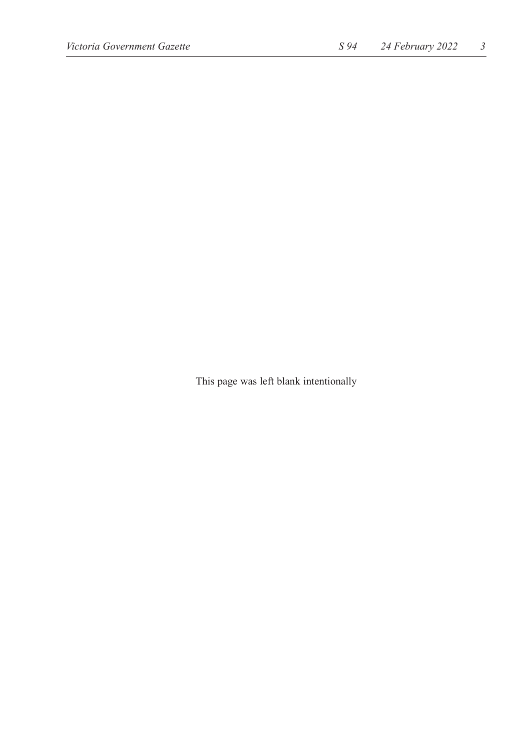This page was left blank intentionally